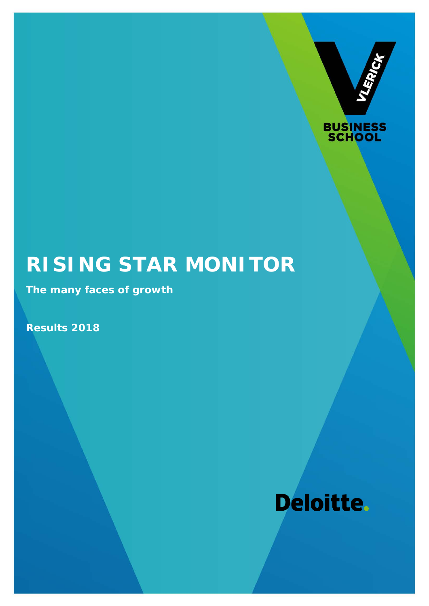



# **RISING STAR MONITOR**

**The many faces of growth**

**Results 2018**

# Deloitte.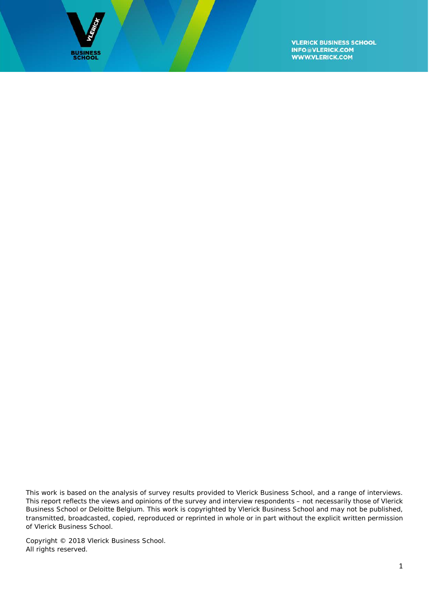

This work is based on the analysis of survey results provided to Vlerick Business School, and a range of interviews. This report reflects the views and opinions of the survey and interview respondents – not necessarily those of Vlerick Business School or Deloitte Belgium. This work is copyrighted by Vlerick Business School and may not be published, transmitted, broadcasted, copied, reproduced or reprinted in whole or in part without the explicit written permission of Vlerick Business School.

Copyright © 2018 Vlerick Business School. All rights reserved.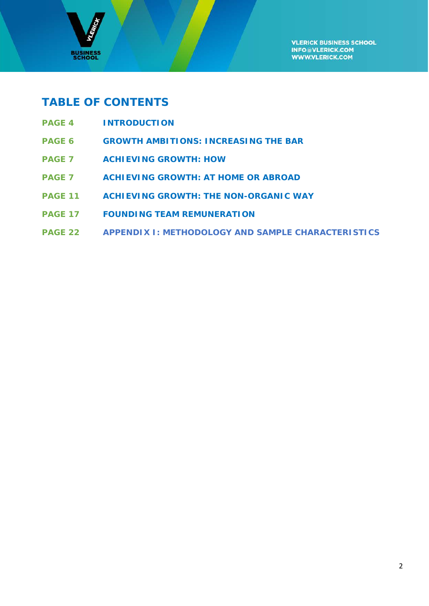

# **TABLE OF CONTENTS**

- **PAGE 4 INTRODUCTION**
- **PAGE 6 GROWTH AMBITIONS: INCREASING THE BAR**
- **PAGE 7 ACHIEVING GROWTH: HOW**
- **PAGE 7 ACHIEVING GROWTH: AT HOME OR ABROAD**
- **PAGE 11 ACHIEVING GROWTH: THE NON-ORGANIC WAY**
- **PAGE 17 FOUNDING TEAM REMUNERATION**
- **PAGE 22 APPENDIX I: METHODOLOGY AND SAMPLE CHARACTERISTICS**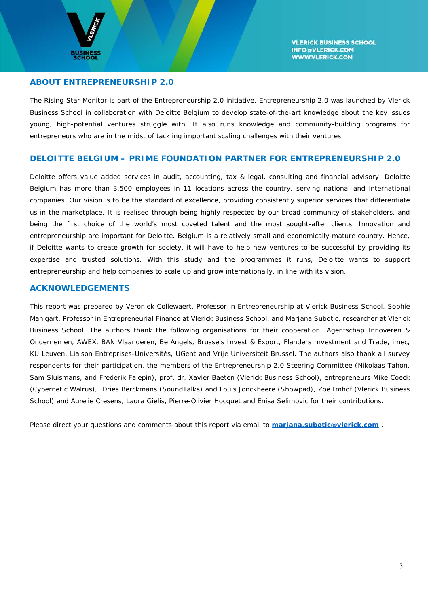

#### **ABOUT ENTREPRENEURSHIP 2.0**

The Rising Star Monitor is part of the Entrepreneurship 2.0 initiative. Entrepreneurship 2.0 was launched by Vlerick Business School in collaboration with Deloitte Belgium to develop state-of-the-art knowledge about the key issues young, high-potential ventures struggle with. It also runs knowledge and community-building programs for entrepreneurs who are in the midst of tackling important scaling challenges with their ventures.

#### **DELOITTE BELGIUM – PRIME FOUNDATION PARTNER FOR ENTREPRENEURSHIP 2.0**

Deloitte offers value added services in audit, accounting, tax & legal, consulting and financial advisory. Deloitte Belgium has more than 3,500 employees in 11 locations across the country, serving national and international companies. Our vision is to be the standard of excellence, providing consistently superior services that differentiate us in the marketplace. It is realised through being highly respected by our broad community of stakeholders, and being the first choice of the world's most coveted talent and the most sought-after clients. Innovation and entrepreneurship are important for Deloitte. Belgium is a relatively small and economically mature country. Hence, if Deloitte wants to create growth for society, it will have to help new ventures to be successful by providing its expertise and trusted solutions. With this study and the programmes it runs, Deloitte wants to support entrepreneurship and help companies to scale up and grow internationally, in line with its vision.

#### **ACKNOWLEDGEMENTS**

This report was prepared by Veroniek Collewaert, Professor in Entrepreneurship at Vlerick Business School, Sophie Manigart, Professor in Entrepreneurial Finance at Vlerick Business School, and Marjana Subotic, researcher at Vlerick Business School. The authors thank the following organisations for their cooperation: Agentschap Innoveren & Ondernemen, AWEX, BAN Vlaanderen, Be Angels, Brussels Invest & Export, Flanders Investment and Trade, imec, KU Leuven, Liaison Entreprises-Universités, UGent and Vrije Universiteit Brussel. The authors also thank all survey respondents for their participation, the members of the Entrepreneurship 2.0 Steering Committee (Nikolaas Tahon, Sam Sluismans, and Frederik Falepin), prof. dr. Xavier Baeten (Vlerick Business School), entrepreneurs Mike Coeck (Cybernetic Walrus), Dries Berckmans (SoundTalks) and Louis Jonckheere (Showpad), Zoë Imhof (Vlerick Business School) and Aurelie Cresens, Laura Gielis, Pierre-Olivier Hocquet and Enisa Selimovic for their contributions.

Please direct your questions and comments about this report via email to **[marjana.subotic@vlerick.com](mailto:nathalie.lagae@vlerick.com)** .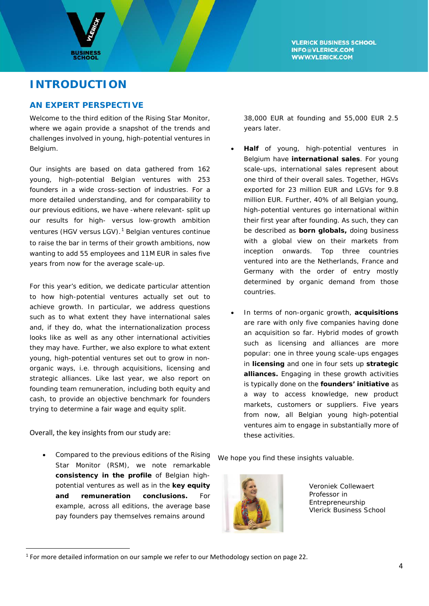



# **INTRODUCTION**

# **AN EXPERT PERSPECTIVE**

Welcome to the third edition of the Rising Star Monitor, where we again provide a snapshot of the trends and challenges involved in young, high-potential ventures in Belgium.

Our insights are based on data gathered from 162 young, high-potential Belgian ventures with 253 founders in a wide cross-section of industries. For a more detailed understanding, and for comparability to our previous editions, we have -where relevant- split up our results for high- versus low-growth ambition ventures (HGV versus LGV).<sup>[1](#page-4-0)</sup> Belgian ventures continue to raise the bar in terms of their growth ambitions, now wanting to add 55 employees and 11M EUR in sales five years from now for the average scale-up.

For this year's edition, we dedicate particular attention to how high-potential ventures actually set out to achieve growth. In particular, we address questions such as to what extent they have international sales and, if they do, what the internationalization process looks like as well as any other international activities they may have. Further, we also explore to what extent young, high-potential ventures set out to grow in nonorganic ways, i.e. through acquisitions, licensing and strategic alliances. Like last year, we also report on founding team remuneration, including both equity and cash, to provide an objective benchmark for founders trying to determine a fair wage and equity split.

#### Overall, the key insights from our study are:

• Compared to the previous editions of the Rising Star Monitor (RSM), we note remarkable **consistency in the profile** of Belgian highpotential ventures as well as in the **key equity and remuneration conclusions.** For example, across all editions, the average base pay founders pay themselves remains around

38,000 EUR at founding and 55,000 EUR 2.5 years later.

- **Half** of young, high-potential ventures in Belgium have **international sales**. For young scale-ups, international sales represent about one third of their overall sales. Together, HGVs exported for 23 million EUR and LGVs for 9.8 million EUR. Further, 40% of all Belgian young, high-potential ventures go international within their first year after founding. As such, they can be described as **born globals,** doing business with a global view on their markets from inception onwards. Top three countries ventured into are the Netherlands, France and Germany with the order of entry mostly determined by organic demand from those countries.
- In terms of non-organic growth, **acquisitions** are rare with only five companies having done an acquisition so far. Hybrid modes of growth such as licensing and alliances are more popular: one in three young scale-ups engages in **licensing** and one in four sets up **strategic alliances.** Engaging in these growth activities is typically done on the **founders' initiative** as a way to access knowledge, new product markets, customers or suppliers. Five years from now, all Belgian young high-potential ventures aim to engage in substantially more of these activities.

We hope you find these insights valuable.



Veroniek Collewaert Professor in Entrepreneurship Vlerick Business School

<span id="page-4-0"></span> $1$  For more detailed information on our sample we refer to our Methodology section on page 22.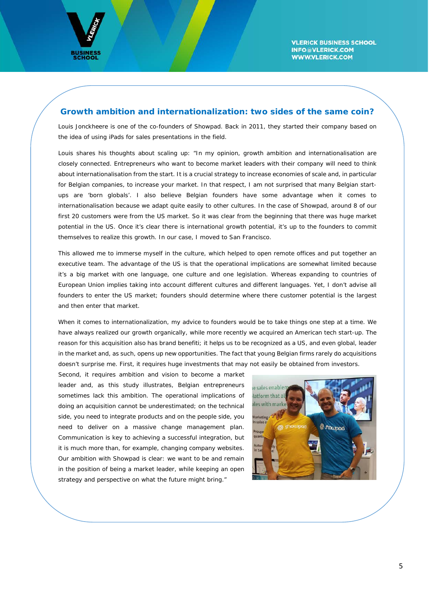

#### **Growth ambition and internationalization: two sides of the same coin?**

Louis Jonckheere is one of the co-founders of Showpad. Back in 2011, they started their company based on the idea of using iPads for sales presentations in the field.

Louis shares his thoughts about scaling up: "In my opinion, growth ambition and internationalisation are closely connected. Entrepreneurs who want to become market leaders with their company will need to think about internationalisation from the start. It is a crucial strategy to increase economies of scale and, in particular for Belgian companies, to increase your market. In that respect, I am not surprised that many Belgian startups are 'born globals'. I also believe Belgian founders have some advantage when it comes to internationalisation because we adapt quite easily to other cultures. In the case of Showpad, around 8 of our first 20 customers were from the US market. So it was clear from the beginning that there was huge market potential in the US. Once it's clear there is international growth potential, it's up to the founders to commit themselves to realize this growth. In our case, I moved to San Francisco.

This allowed me to immerse myself in the culture, which helped to open remote offices and put together an executive team. The advantage of the US is that the operational implications are somewhat limited because it's a big market with one language, one culture and one legislation. Whereas expanding to countries of European Union implies taking into account different cultures and different languages. Yet, I don't advise all founders to enter the US market; founders should determine where there customer potential is the largest and then enter that market.

When it comes to internationalization, my advice to founders would be to take things one step at a time. We have always realized our growth organically, while more recently we acquired an American tech start-up. The reason for this acquisition also has brand benefiti; it helps us to be recognized as a US, and even global, leader in the market and, as such, opens up new opportunities. The fact that young Belgian firms rarely do acquisitions doesn't surprise me. First, it requires huge investments that may not easily be obtained from investors.

Second, it requires ambition and vision to become a market leader and, as this study illustrates, Belgian entrepreneurs sometimes lack this ambition. The operational implications of doing an acquisition cannot be underestimated; on the technical side, you need to integrate products and on the people side, you need to deliver on a massive change management plan. Communication is key to achieving a successful integration, but it is much more than, for example, changing company websites. Our ambition with Showpad is clear: we want to be and remain in the position of being a market leader, while keeping an open strategy and perspective on what the future might bring."

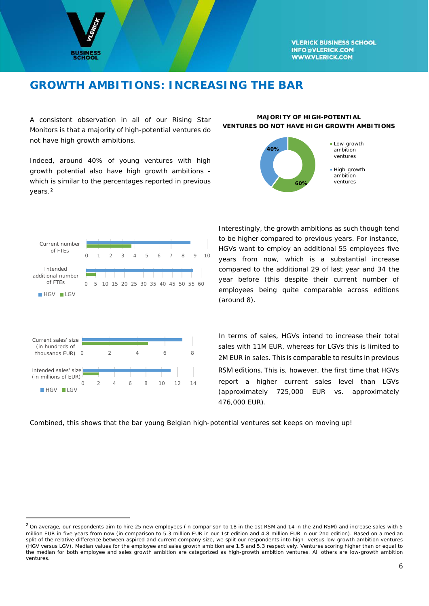

# **GROWTH AMBITIONS: INCREASING THE BAR**

A consistent observation in all of our Rising Star Monitors is that a majority of high-potential ventures do not have high growth ambitions.

Indeed, around 40% of young ventures with high growth potential also have high growth ambitions which is similar to the percentages reported in previous years.[2](#page-6-0)

#### **MAJORITY OF HIGH-POTENTIAL VENTURES DO NOT HAVE HIGH GROWTH AMBITIONS**





Interestingly, the growth ambitions as such though tend to be higher compared to previous years. For instance, HGVs want to employ an additional 55 employees five years from now, which is a substantial increase compared to the additional 29 of last year and 34 the year before (this despite their current number of employees being quite comparable across editions (around 8).

In terms of sales, HGVs intend to increase their total sales with 11M EUR, whereas for LGVs this is limited to 2M EUR in sales. This is comparable to results in previous RSM editions. This is, however, the first time that HGVs report a higher current sales level than LGVs (approximately 725,000 EUR vs. approximately 476,000 EUR).

Combined, this shows that the bar young Belgian high-potential ventures set keeps on moving up!

<span id="page-6-0"></span><sup>&</sup>lt;sup>2</sup> On average, our respondents aim to hire 25 new employees (in comparison to 18 in the 1st RSM and 14 in the 2nd RSM) and increase sales with 5 million EUR in five years from now (in comparison to 5.3 million EUR in our 1st edition and 4.8 million EUR in our 2nd edition). Based on a median split of the relative difference between aspired and current company size, we split our respondents into high- versus low-growth ambition ventures (HGV versus LGV). Median values for the employee and sales growth ambition are 1.5 and 5.3 respectively. Ventures scoring higher than or equal to the median for both employee and sales growth ambition are categorized as high-growth ambition ventures. All others are low-growth ambition ventures.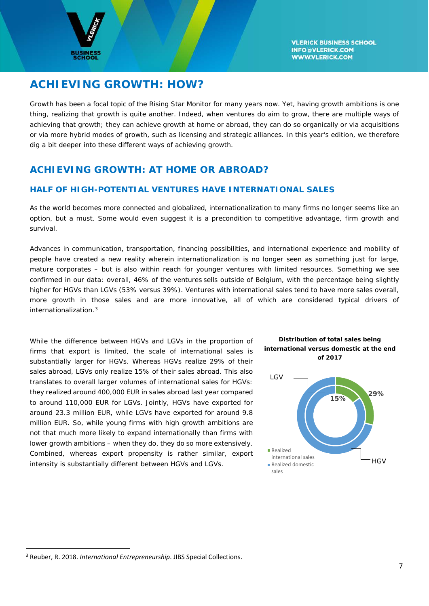

# **ACHIEVING GROWTH: HOW?**

Growth has been a focal topic of the Rising Star Monitor for many years now. Yet, having growth ambitions is one thing, realizing that growth is quite another. Indeed, when ventures do aim to grow, there are multiple ways of achieving that growth; they can achieve growth at home or abroad, they can do so organically or via acquisitions or via more hybrid modes of growth, such as licensing and strategic alliances. In this year's edition, we therefore dig a bit deeper into these different ways of achieving growth.

# **ACHIEVING GROWTH: AT HOME OR ABROAD?**

### **HALF OF HIGH-POTENTIAL VENTURES HAVE INTERNATIONAL SALES**

As the world becomes more connected and globalized, internationalization to many firms no longer seems like an option, but a must. Some would even suggest it is a precondition to competitive advantage, firm growth and survival.

Advances in communication, transportation, financing possibilities, and international experience and mobility of people have created a new reality wherein internationalization is no longer seen as something just for large, mature corporates – but is also within reach for younger ventures with limited resources. Something we see confirmed in our data: overall, 46% of the ventures sells outside of Belgium, with the percentage being slightly higher for HGVs than LGVs (53% versus 39%). Ventures with international sales tend to have more sales overall, more growth in those sales and are more innovative, all of which are considered typical drivers of internationalization<sup>[3](#page-7-0)</sup>

While the difference between HGVs and LGVs in the proportion of firms that export is limited, the scale of international sales is substantially larger for HGVs. Whereas HGVs realize 29% of their sales abroad, LGVs only realize 15% of their sales abroad. This also translates to overall larger volumes of international sales for HGVs: they realized around 400,000 EUR in sales abroad last year compared to around 110,000 EUR for LGVs. Jointly, HGVs have exported for around 23.3 million EUR, while LGVs have exported for around 9.8 million EUR. So, while young firms with high growth ambitions are not that much more likely to expand internationally than firms with lower growth ambitions – when they do, they do so more extensively. Combined, whereas export propensity is rather similar, export intensity is substantially different between HGVs and LGVs.



*Distribution of total sales being* 



<span id="page-7-0"></span> <sup>3</sup> Reuber, R. 2018. *International Entrepreneurship*. JIBS Special Collections.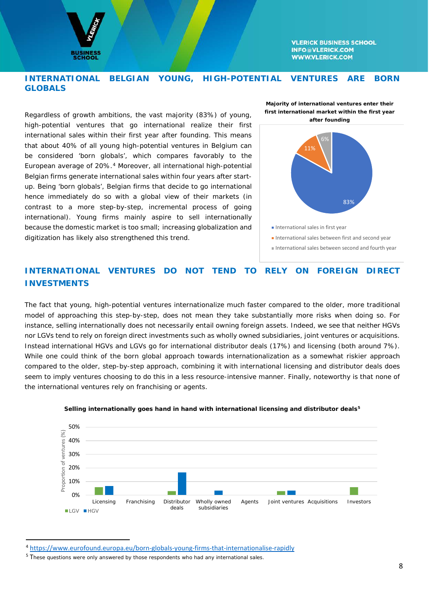

### **INTERNATIONAL BELGIAN YOUNG, HIGH-POTENTIAL VENTURES ARE BORN GLOBALS**

Regardless of growth ambitions, the vast majority (83%) of young, high-potential ventures that go international realize their first international sales within their first year after founding. This means that about 40% of *all* young high-potential ventures in Belgium can be considered 'born globals', which compares favorably to the European average of 20%.[4](#page-8-0) Moreover, all international high-potential Belgian firms generate international sales within four years after startup. Being 'born globals', Belgian firms that decide to go international hence immediately do so with a global view of their markets (in contrast to a more step-by-step, incremental process of going international). Young firms mainly aspire to sell internationally because the domestic market is too small; increasing globalization and digitization has likely also strengthened this trend.





International sales between first and second year

International sales between second and fourth year

# **INTERNATIONAL VENTURES DO NOT TEND TO RELY ON FOREIGN DIRECT INVESTMENTS**

The fact that young, high-potential ventures internationalize much faster compared to the older, more traditional model of approaching this step-by-step, does not mean they take substantially more risks when doing so. For instance, selling internationally does not necessarily entail owning foreign assets. Indeed, we see that neither HGVs nor LGVs tend to rely on foreign direct investments such as wholly owned subsidiaries, joint ventures or acquisitions. Instead international HGVs and LGVs go for international distributor deals (17%) and licensing (both around 7%). While one could think of the born global approach towards internationalization as a somewhat riskier approach compared to the older, step-by-step approach, combining it with international licensing and distributor deals does seem to imply ventures choosing to do this in a less resource-intensive manner. Finally, noteworthy is that none of the international ventures rely on franchising or agents.



#### *Selling internationally goes hand in hand with international licensing and distributor deals[5](#page-8-1)*

<span id="page-8-0"></span> <sup>4</sup> <https://www.eurofound.europa.eu/born-globals-young-firms-that-internationalise-rapidly>

<span id="page-8-1"></span><sup>&</sup>lt;sup>5</sup> These questions were only answered by those respondents who had any international sales.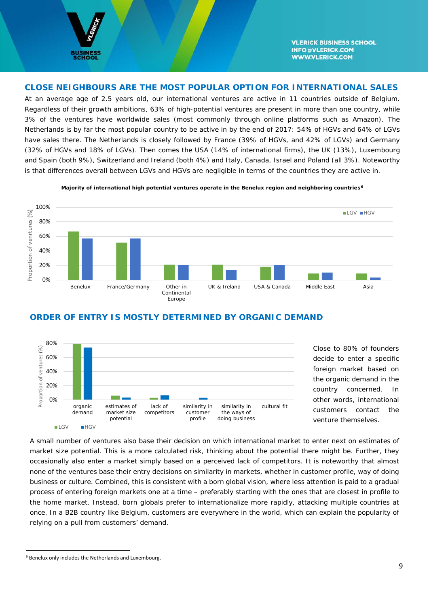

#### **CLOSE NEIGHBOURS ARE THE MOST POPULAR OPTION FOR INTERNATIONAL SALES**

At an average age of 2.5 years old, our international ventures are active in 11 countries outside of Belgium. Regardless of their growth ambitions, 63% of high-potential ventures are present in more than one country, while 3% of the ventures have worldwide sales (most commonly through online platforms such as Amazon). The Netherlands is by far the most popular country to be active in by the end of 2017: 54% of HGVs and 64% of LGVs have sales there. The Netherlands is closely followed by France (39% of HGVs, and 42% of LGVs) and Germany (32% of HGVs and 18% of LGVs). Then comes the USA (14% of international firms), the UK (13%), Luxembourg and Spain (both 9%), Switzerland and Ireland (both 4%) and Italy, Canada, Israel and Poland (all 3%). Noteworthy is that differences overall between LGVs and HGVs are negligible in terms of the countries they are active in.



*Majority of international high potential ventures operate in the Benelux region and neighboring countries[6](#page-9-0)*

### **ORDER OF ENTRY IS MOSTLY DETERMINED BY ORGANIC DEMAND**



Close to 80% of founders decide to enter a specific foreign market based on the organic demand in the country concerned. In other words, international customers contact the venture themselves.

A small number of ventures also base their decision on which international market to enter next on estimates of market size potential. This is a more calculated risk, thinking about the potential there might be. Further, they occasionally also enter a market simply based on a perceived lack of competitors. It is noteworthy that almost none of the ventures base their entry decisions on similarity in markets, whether in customer profile, way of doing business or culture. Combined, this is consistent with a born global vision, where less attention is paid to a gradual process of entering foreign markets one at a time – preferably starting with the ones that are closest in profile to the home market. Instead, born globals prefer to internationalize more rapidly, attacking multiple countries at once. In a B2B country like Belgium, customers are everywhere in the world, which can explain the popularity of relying on a pull from customers' demand.

<span id="page-9-0"></span> <sup>6</sup> Benelux only includes the Netherlands and Luxembourg.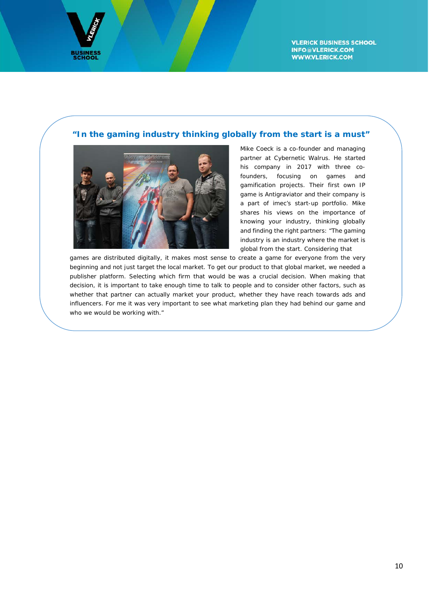

# **"In the gaming industry thinking globally from the start is a must"**



Mike Coeck is a co-founder and managing partner at Cybernetic Walrus. He started his company in 2017 with three cofounders, focusing on games and gamification projects. Their first own IP game is Antigraviator and their company is a part of imec's start-up portfolio. Mike shares his views on the importance of knowing your industry, thinking globally and finding the right partners: "The gaming industry is an industry where the market is global from the start. Considering that

games are distributed digitally, it makes most sense to create a game for everyone from the very beginning and not just target the local market. To get our product to that global market, we needed a publisher platform. Selecting which firm that would be was a crucial decision. When making that decision, it is important to take enough time to talk to people and to consider other factors, such as whether that partner can actually market your product, whether they have reach towards ads and influencers. For me it was very important to see what marketing plan they had behind our game and who we would be working with."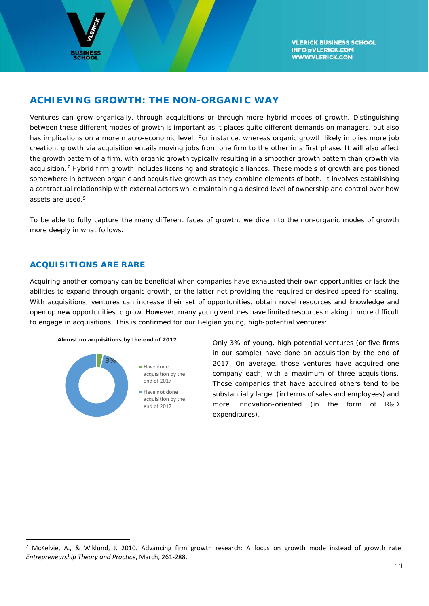

# **ACHIEVING GROWTH: THE NON-ORGANIC WAY**

Ventures can grow organically, through acquisitions or through more hybrid modes of growth. Distinguishing between these different modes of growth is important as it places quite different demands on managers, but also has implications on a more macro-economic level. For instance, whereas organic growth likely implies more job creation, growth via acquisition entails moving jobs from one firm to the other in a first phase. It will also affect the growth pattern of a firm, with organic growth typically resulting in a smoother growth pattern than growth via acquisition.<sup>[7](#page-11-0)</sup> Hybrid firm growth includes licensing and strategic alliances. These models of growth are positioned somewhere in between organic and acquisitive growth as they combine elements of both. It involves establishing a contractual relationship with external actors while maintaining a desired level of ownership and control over how assets are used.5

To be able to fully capture the many different faces of growth, we dive into the non-organic modes of growth more deeply in what follows.

### **ACQUISITIONS ARE RARE**

Acquiring another company can be beneficial when companies have exhausted their own opportunities or lack the abilities to expand through organic growth, or the latter not providing the required or desired speed for scaling. With acquisitions, ventures can increase their set of opportunities, obtain novel resources and knowledge and open up new opportunities to grow. However, many young ventures have limited resources making it more difficult to engage in acquisitions. This is confirmed for our Belgian young, high-potential ventures:





*Almost no acquisitions by the end of 2017* Only 3% of young, high potential ventures (or five firms in our sample) have done an acquisition by the end of 2017. On average, those ventures have acquired one company each, with a maximum of three acquisitions. Those companies that have acquired others tend to be substantially larger (in terms of sales and employees) and more innovation-oriented (in the form of R&D expenditures).

<span id="page-11-0"></span><sup>&</sup>lt;sup>7</sup> McKelvie, A., & Wiklund, J. 2010. Advancing firm growth research: A focus on growth mode instead of growth rate. *Entrepreneurship Theory and Practice*, March, 261-288.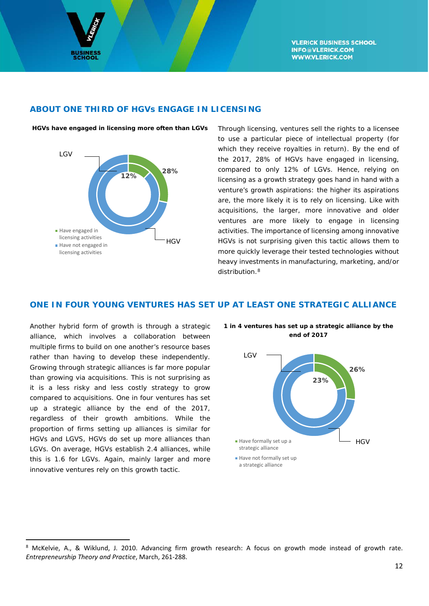

#### **ABOUT ONE THIRD OF HGVs ENGAGE IN LICENSING**



*HGVs have engaged in licensing more often than LGVs* Through licensing, ventures sell the rights to a licensee to use a particular piece of intellectual property (for which they receive royalties in return). By the end of the 2017, 28% of HGVs have engaged in licensing, compared to only 12% of LGVs. Hence, relying on licensing as a growth strategy goes hand in hand with a venture's growth aspirations: the higher its aspirations are, the more likely it is to rely on licensing. Like with acquisitions, the larger, more innovative and older ventures are more likely to engage in licensing activities. The importance of licensing among innovative HGVs is not surprising given this tactic allows them to more quickly leverage their tested technologies without heavy investments in manufacturing, marketing, and/or distribution[.8](#page-12-0)

# **ONE IN FOUR YOUNG VENTURES HAS SET UP AT LEAST ONE STRATEGIC ALLIANCE**

Another hybrid form of growth is through a strategic alliance, which involves a collaboration between multiple firms to build on one another's resource bases rather than having to develop these independently. Growing through strategic alliances is far more popular than growing via acquisitions. This is not surprising as it is a less risky and less costly strategy to grow compared to acquisitions. One in four ventures has set up a strategic alliance by the end of the 2017, regardless of their growth ambitions. While the proportion of firms setting up alliances is similar for HGVs and LGVS, HGVs do set up *more* alliances than LGVs. On average, HGVs establish 2.4 alliances, while this is 1.6 for LGVs. Again, mainly larger and more innovative ventures rely on this growth tactic.



*1 in 4 ventures has set up a strategic alliance by the end of 2017*

<span id="page-12-0"></span><sup>&</sup>lt;sup>8</sup> McKelvie, A., & Wiklund, J. 2010. Advancing firm growth research: A focus on growth mode instead of growth rate. *Entrepreneurship Theory and Practice*, March, 261-288.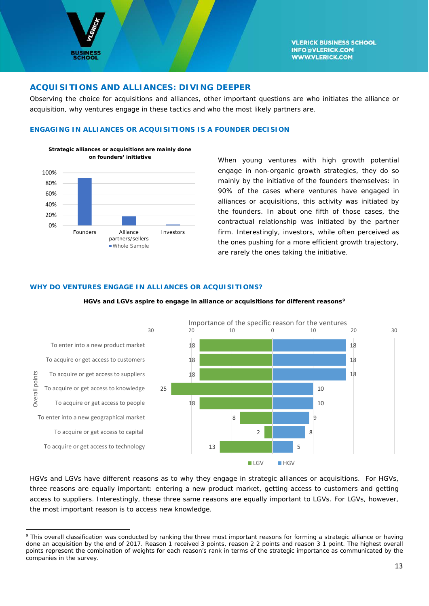

 $\overline{\phantom{a}}$ 

**VLERICK BUSINESS SCHOOL INFO@VLERICK.COM WWW.VLERICK.COM** 

#### **ACQUISITIONS AND ALLIANCES: DIVING DEEPER**

Observing the choice for acquisitions and alliances, other important questions are who initiates the alliance or acquisition, why ventures engage in these tactics and who the most likely partners are.

#### **ENGAGING IN ALLIANCES OR ACQUISITIONS IS A FOUNDER DECISION**



*on founders' initiative* When young ventures with high growth potential engage in non-organic growth strategies, they do so mainly by the initiative of the founders themselves: in 90% of the cases where ventures have engaged in alliances or acquisitions, this activity was initiated by the founders. In about one fifth of those cases, the contractual relationship was initiated by the partner firm. Interestingly, investors, while often perceived as the ones pushing for a more efficient growth trajectory, are rarely the ones taking the initiative.

#### **WHY DO VENTURES ENGAGE IN ALLIANCES OR ACQUISITIONS?**



*HGVs and LGVs aspire to engage in alliance or acquisitions for different reason[s9](#page-13-0)*

HGVs and LGVs have different reasons as to why they engage in strategic alliances or acquisitions. For HGVs, three reasons are equally important: entering a new product market, getting access to customers and getting access to suppliers. Interestingly, these three same reasons are equally important to LGVs. For LGVs, however, the most important reason is to access new knowledge.

<span id="page-13-0"></span><sup>&</sup>lt;sup>9</sup> This overall classification was conducted by ranking the three most important reasons for forming a strategic alliance or having done an acquisition by the end of 2017. Reason 1 received 3 points, reason 2 2 points and reason 3 1 point. The highest overall points represent the combination of weights for each reason's rank in terms of the strategic importance as communicated by the companies in the survey.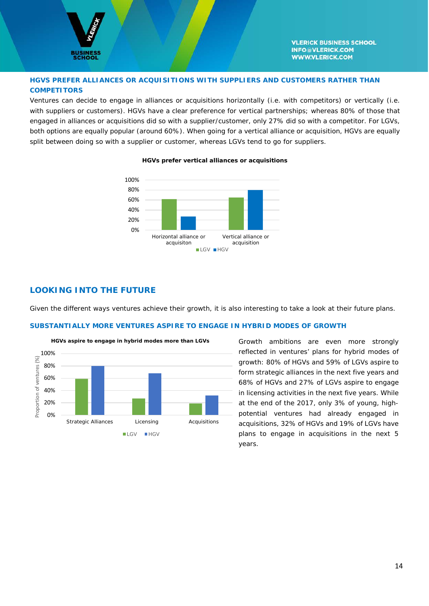

#### **HGVS PREFER ALLIANCES OR ACQUISITIONS WITH SUPPLIERS AND CUSTOMERS RATHER THAN COMPETITORS**

Ventures can decide to engage in alliances or acquisitions horizontally (i.e. with competitors) or vertically (i.e. with suppliers or customers). HGVs have a clear preference for vertical partnerships; whereas 80% of those that engaged in alliances or acquisitions did so with a supplier/customer, only 27% did so with a competitor. For LGVs, both options are equally popular (around 60%). When going for a vertical alliance or acquisition, HGVs are equally split between doing so with a supplier or customer, whereas LGVs tend to go for suppliers.



#### *HGVs prefer vertical alliances or acquisitions*

#### **LOOKING INTO THE FUTURE**

Given the different ways ventures achieve their growth, it is also interesting to take a look at their future plans.

#### **SUBSTANTIALLY MORE VENTURES ASPIRE TO ENGAGE IN HYBRID MODES OF GROWTH**



reflected in ventures' plans for hybrid modes of growth: 80% of HGVs and 59% of LGVs aspire to form strategic alliances in the next five years and 68% of HGVs and 27% of LGVs aspire to engage in licensing activities in the next five years. While at the end of the 2017, only 3% of young, highpotential ventures had already engaged in acquisitions, 32% of HGVs and 19% of LGVs have plans to engage in acquisitions in the next 5 years.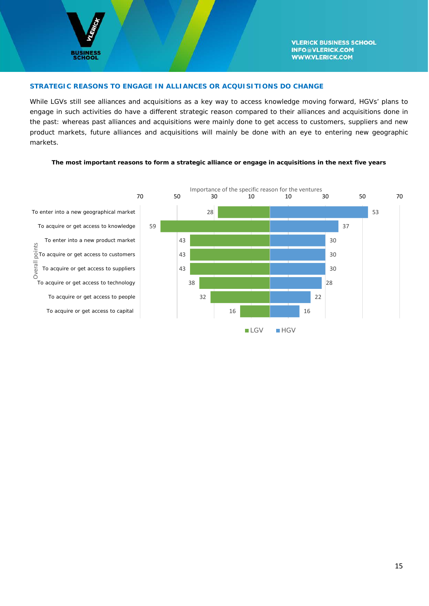

#### **STRATEGIC REASONS TO ENGAGE IN ALLIANCES OR ACQUISITIONS DO CHANGE**

While LGVs still see alliances and acquisitions as a key way to access knowledge moving forward, HGVs' plans to engage in such activities do have a different strategic reason compared to their alliances and acquisitions done in the past: whereas past alliances and acquisitions were mainly done to get access to customers, suppliers and new product markets, future alliances and acquisitions will mainly be done with an eye to entering new geographic markets.

#### *The most important reasons to form a strategic alliance or engage in acquisitions in the next five years*

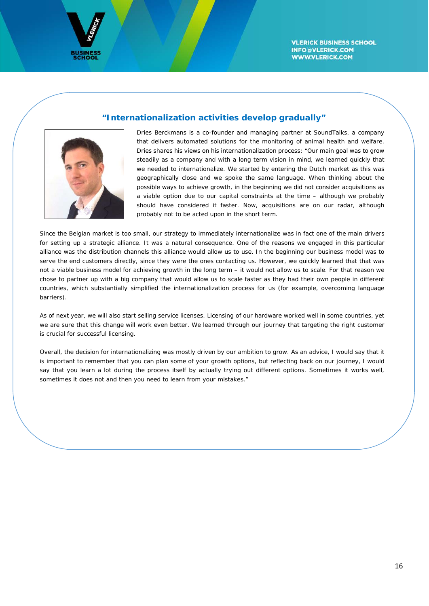



#### **"Internationalization activities develop gradually"**

Dries Berckmans is a co-founder and managing partner at SoundTalks, a company that delivers automated solutions for the monitoring of animal health and welfare. Dries shares his views on his internationalization process: "Our main goal was to grow steadily as a company and with a long term vision in mind, we learned quickly that we needed to internationalize. We started by entering the Dutch market as this was geographically close and we spoke the same language. When thinking about the possible ways to achieve growth, in the beginning we did not consider acquisitions as a viable option due to our capital constraints at the time – although we probably should have considered it faster. Now, acquisitions are on our radar, although probably not to be acted upon in the short term.

Since the Belgian market is too small, our strategy to immediately internationalize was in fact one of the main drivers for setting up a strategic alliance. It was a natural consequence. One of the reasons we engaged in this particular alliance was the distribution channels this alliance would allow us to use. In the beginning our business model was to serve the end customers directly, since they were the ones contacting us. However, we quickly learned that that was not a viable business model for achieving growth in the long term – it would not allow us to scale. For that reason we chose to partner up with a big company that would allow us to scale faster as they had their own people in different countries, which substantially simplified the internationalization process for us (for example, overcoming language barriers).

As of next year, we will also start selling service licenses. Licensing of our hardware worked well in some countries, yet we are sure that this change will work even better. We learned through our journey that targeting the right customer is crucial for successful licensing.

Overall, the decision for internationalizing was mostly driven by our ambition to grow. As an advice, I would say that it is important to remember that you can plan some of your growth options, but reflecting back on our journey, I would say that you learn a lot during the process itself by actually trying out different options. Sometimes it works well, sometimes it does not and then you need to learn from your mistakes."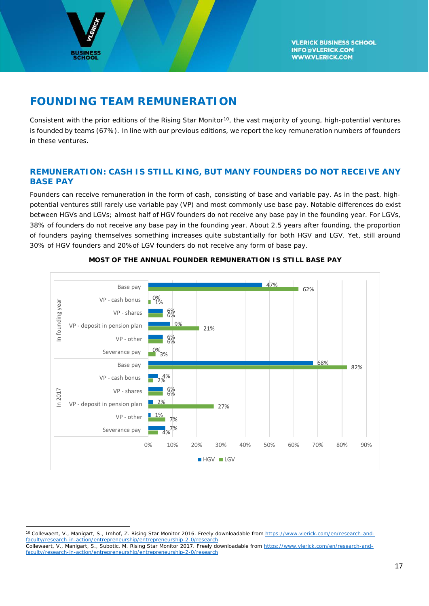

 $\overline{\phantom{a}}$ 

# **FOUNDING TEAM REMUNERATION**

Consistent with the prior editions of the Rising Star Monitor<sup>[10](#page-17-0)</sup>, the vast majority of young, high-potential ventures is founded by teams (67%). In line with our previous editions, we report the key remuneration numbers of founders in these ventures.

# **REMUNERATION: CASH IS STILL KING, BUT MANY FOUNDERS DO NOT RECEIVE ANY BASE PAY**

Founders can receive remuneration in the form of cash, consisting of base and variable pay. As in the past, highpotential ventures still rarely use variable pay (VP) and most commonly use base pay. Notable differences do exist between HGVs and LGVs; almost half of HGV founders do not receive any base pay in the founding year. For LGVs, 38% of founders do not receive any base pay in the founding year. About 2.5 years after founding, the proportion of founders paying themselves something increases quite substantially for both HGV and LGV. Yet, still around 30% of HGV founders and 20%of LGV founders do not receive any form of base pay.



#### **MOST OF THE ANNUAL FOUNDER REMUNERATION IS STILL BASE PAY**

<span id="page-17-0"></span><sup>10</sup> Collewaert, V., Manigart, S., Imhof, Z. *Rising Star Monitor 2016*. Freely downloadable from [https://www.vlerick.com/en/research-and](https://www.vlerick.com/en/research-and-faculty/research-in-action/entrepreneurship/entrepreneurship-2-0/research)[faculty/research-in-action/entrepreneurship/entrepreneurship-2-0/research](https://www.vlerick.com/en/research-and-faculty/research-in-action/entrepreneurship/entrepreneurship-2-0/research) Collewaert, V., Manigart, S., Subotic, M. *Rising Star Monitor 2017*. Freely downloadable fro[m https://www.vlerick.com/en/research-and](https://www.vlerick.com/en/research-and-faculty/research-in-action/entrepreneurship/entrepreneurship-2-0/research)[faculty/research-in-action/entrepreneurship/entrepreneurship-2-0/research](https://www.vlerick.com/en/research-and-faculty/research-in-action/entrepreneurship/entrepreneurship-2-0/research)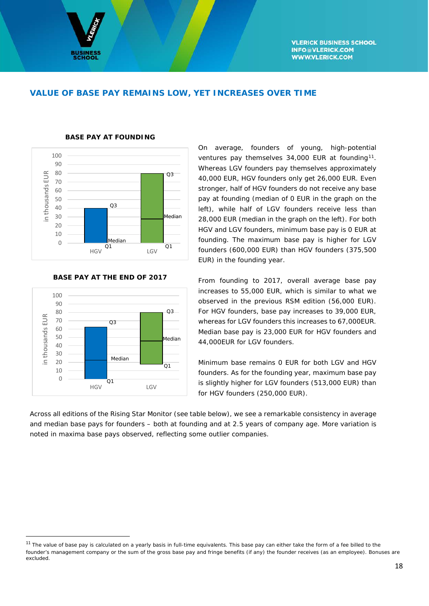### **VALUE OF BASE PAY REMAINS LOW, YET INCREASES OVER TIME**

![](_page_18_Figure_3.jpeg)

#### **BASE PAY AT FOUNDING**

![](_page_18_Figure_5.jpeg)

stronger, half of HGV founders do not receive any base pay at founding (median of 0 EUR in the graph on the left), while half of LGV founders receive less than 28,000 EUR (median in the graph on the left). For both HGV and LGV founders, minimum base pay is 0 EUR at founding. The maximum base pay is higher for LGV founders (600,000 EUR) than HGV founders (375,500 EUR) in the founding year.

On average, founders of young, high-potential ventures pay themselves 34,000 EUR at founding<sup>[11](#page-18-0)</sup>. Whereas LGV founders pay themselves approximately 40,000 EUR, HGV founders only get 26,000 EUR. Even

From founding to 2017, overall average base pay increases to 55,000 EUR, which is similar to what we observed in the previous RSM edition (56,000 EUR). For HGV founders, base pay increases to 39,000 EUR, whereas for LGV founders this increases to 67,000EUR. Median base pay is 23,000 EUR for HGV founders and 44,000EUR for LGV founders.

Minimum base remains 0 EUR for both LGV and HGV founders. As for the founding year, maximum base pay is slightly higher for LGV founders (513,000 EUR) than for HGV founders (250,000 EUR).

Across all editions of the Rising Star Monitor (see table below), we see a remarkable consistency in average and median base pays for founders – both at founding and at 2.5 years of company age. More variation is noted in maxima base pays observed, reflecting some outlier companies.

<span id="page-18-0"></span><sup>&</sup>lt;sup>11</sup> The value of base pay is calculated on a yearly basis in full-time equivalents. This base pay can either take the form of a fee billed to the founder's management company or the sum of the gross base pay and fringe benefits (if any) the founder receives (as an employee). Bonuses are excluded.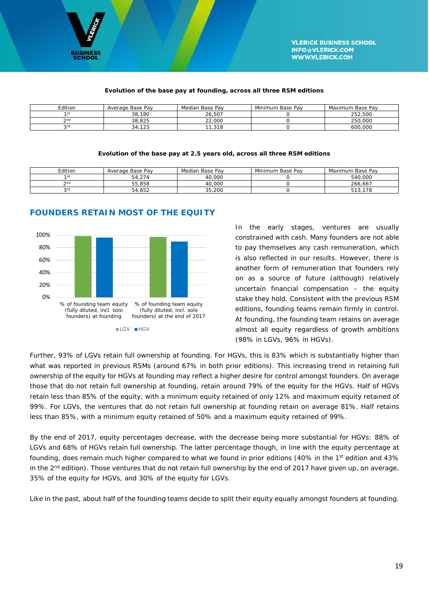![](_page_19_Picture_0.jpeg)

#### *Evolution of the base pay at founding, across all three RSM editions*

| Edition   | Average Base Pay | Median Base Pav | Minimum Base Pav | Maximum Base Pav |
|-----------|------------------|-----------------|------------------|------------------|
|           | 38,180           | 26.507          |                  | 252.500          |
| $\cap$ nd | 38.825           | 22.000          |                  | 250.000          |
| 20        | 34.123           | 11.318          |                  | 600.000          |

#### *Evolution of the base pay at 2.5 years old, across all three RSM editions*

| Edition | Average Base Pav | Median Base Pav | Minimum Base Pay | Maximum Base Pav |
|---------|------------------|-----------------|------------------|------------------|
| 1 st    | 54.274           | 40.000          |                  | 540.000          |
| 2nc     | 55.858           | 40.000          |                  | 266.667          |
| 2rd     | 54.852           | 35,200          |                  | 178<br>513.      |

![](_page_19_Figure_6.jpeg)

#### **FOUNDERS RETAIN MOST OF THE EQUITY**

In the early stages, ventures are usually constrained with cash. Many founders are not able to pay themselves any cash remuneration, which is also reflected in our results. However, there is another form of remuneration that founders rely on as a source of future (although) relatively uncertain financial compensation  $-$  the equity stake they hold. Consistent with the previous RSM editions, founding teams remain firmly in control. At founding, the founding team retains on average almost all equity regardless of growth ambitions (98% in LGVs, 96% in HGVs).

Further, 93% of LGVs retain full ownership at founding. For HGVs, this is 83% which is substantially higher than what was reported in previous RSMs (around 67% in both prior editions). This increasing trend in retaining full ownership of the equity for HGVs at founding may reflect a higher desire for control amongst founders. On average those that do not retain full ownership at founding, retain around 79% of the equity for the HGVs. Half of HGVs retain less than 85% of the equity, with a minimum equity retained of only 12% and maximum equity retained of 99%. For LGVs, the ventures that do not retain full ownership at founding retain on average 81%. Half retains less than 85%, with a minimum equity retained of 50% and a maximum equity retained of 99%.

By the end of 2017, equity percentages decrease, with the decrease being more substantial for HGVs: 88% of LGVs and 68% of HGVs retain full ownership. The latter percentage though, in line with the equity percentage at founding, does remain much higher compared to what we found in prior editions (40% in the 1<sup>st</sup> edition and 43% in the  $2^{nd}$  edition). Those ventures that do not retain full ownership by the end of 2017 have given up, on average, 35% of the equity for HGVs, and 30% of the equity for LGVs.

Like in the past, about half of the founding teams decide to split their equity equally amongst founders at founding.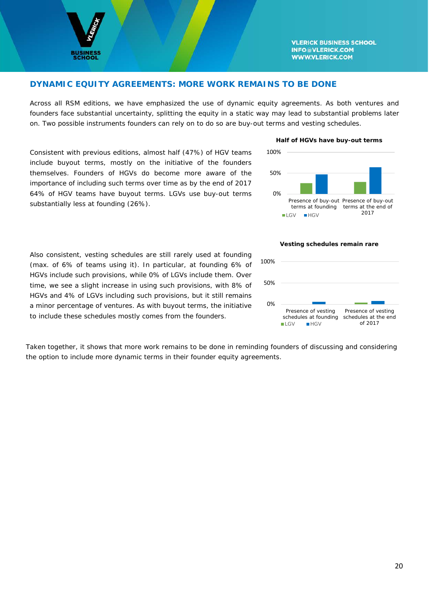![](_page_20_Picture_0.jpeg)

### **DYNAMIC EQUITY AGREEMENTS: MORE WORK REMAINS TO BE DONE**

Across all RSM editions, we have emphasized the use of dynamic equity agreements. As both ventures and founders face substantial uncertainty, splitting the equity in a static way may lead to substantial problems later on. Two possible instruments founders can rely on to do so are buy-out terms and vesting schedules.

Consistent with previous editions, almost half (47%) of HGV teams include buyout terms, mostly on the initiative of the founders themselves. Founders of HGVs do become more aware of the importance of including such terms over time as by the end of 2017 64% of HGV teams have buyout terms. LGVs use buy-out terms substantially less at founding (26%).

#### *Half of HGVs have buy-out terms*

![](_page_20_Figure_6.jpeg)

#### *Vesting schedules remain rare*

![](_page_20_Figure_8.jpeg)

Also consistent, vesting schedules are still rarely used at founding (max. of 6% of teams using it). In particular, at founding 6% of HGVs include such provisions, while 0% of LGVs include them. Over time, we see a slight increase in using such provisions, with 8% of HGVs and 4% of LGVs including such provisions, but it still remains a minor percentage of ventures. As with buyout terms, the initiative to include these schedules mostly comes from the founders.

Taken together, it shows that more work remains to be done in reminding founders of discussing and considering the option to include more dynamic terms in their founder equity agreements.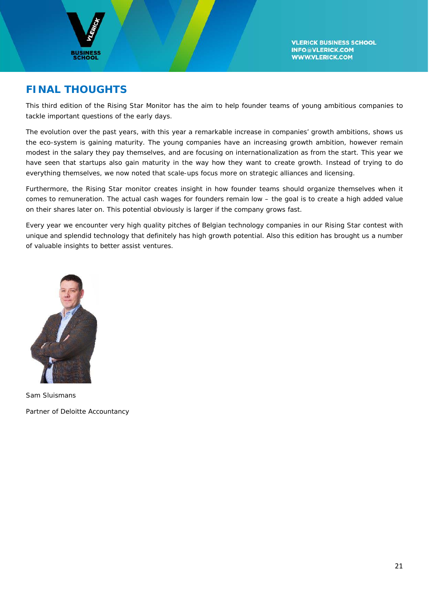![](_page_21_Picture_0.jpeg)

# **FINAL THOUGHTS**

This third edition of the Rising Star Monitor has the aim to help founder teams of young ambitious companies to tackle important questions of the early days.

The evolution over the past years, with this year a remarkable increase in companies' growth ambitions, shows us the eco-system is gaining maturity. The young companies have an increasing growth ambition, however remain modest in the salary they pay themselves, and are focusing on internationalization as from the start. This year we have seen that startups also gain maturity in the way how they want to create growth. Instead of trying to do everything themselves, we now noted that scale-ups focus more on strategic alliances and licensing.

Furthermore, the Rising Star monitor creates insight in how founder teams should organize themselves when it comes to remuneration. The actual cash wages for founders remain low – the goal is to create a high added value on their shares later on. This potential obviously is larger if the company grows fast.

Every year we encounter very high quality pitches of Belgian technology companies in our Rising Star contest with unique and splendid technology that definitely has high growth potential. Also this edition has brought us a number of valuable insights to better assist ventures.

![](_page_21_Picture_7.jpeg)

Sam Sluismans Partner of Deloitte Accountancy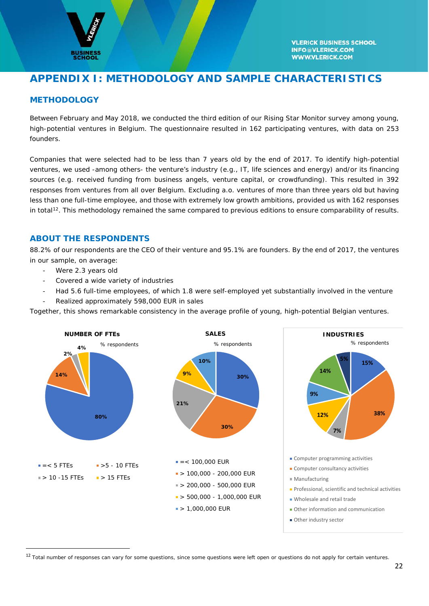![](_page_22_Picture_0.jpeg)

# **APPENDIX I: METHODOLOGY AND SAMPLE CHARACTERISTICS**

# **METHODOLOGY**

Between February and May 2018, we conducted the third edition of our Rising Star Monitor survey among young, high-potential ventures in Belgium. The questionnaire resulted in 162 participating ventures, with data on 253 founders.

Companies that were selected had to be less than 7 years old by the end of 2017. To identify high-potential ventures, we used -among others- the venture's industry (e.g., IT, life sciences and energy) and/or its financing sources (e.g. received funding from business angels, venture capital, or crowdfunding). This resulted in 392 responses from ventures from all over Belgium. Excluding a.o. ventures of more than three years old but having less than one full-time employee, and those with extremely low growth ambitions, provided us with 162 responses in total<sup>[12](#page-22-0)</sup>. This methodology remained the same compared to previous editions to ensure comparability of results.

#### **ABOUT THE RESPONDENTS**

88.2% of our respondents are the CEO of their venture and 95.1% are founders. By the end of 2017, the ventures in our sample, on average:

- Were 2.3 years old
- Covered a wide variety of industries
- Had 5.6 full-time employees, of which 1.8 were self-employed yet substantially involved in the venture
- Realized approximately 598,000 EUR in sales

Together, this shows remarkable consistency in the average profile of young, high-potential Belgian ventures.

![](_page_22_Figure_13.jpeg)

<span id="page-22-0"></span><sup>&</sup>lt;sup>12</sup> Total number of responses can vary for some questions, since some questions were left open or questions do not apply for certain ventures.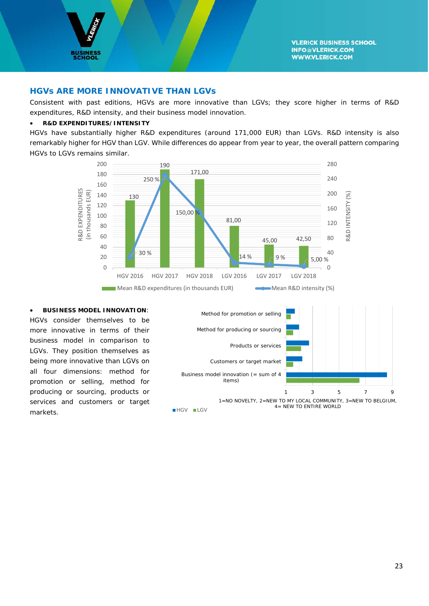![](_page_23_Picture_0.jpeg)

#### **HGVs ARE MORE INNOVATIVE THAN LGVs**

Consistent with past editions, HGVs are more innovative than LGVs; they score higher in terms of R&D expenditures, R&D intensity, and their business model innovation.

#### • **R&D EXPENDITURES/INTENSITY**

HGVs have substantially higher R&D expenditures (around 171,000 EUR) than LGVs. R&D intensity is also remarkably higher for HGV than LGV. While differences do appear from year to year, the overall pattern comparing HGVs to LGVs remains similar.

![](_page_23_Figure_6.jpeg)

• **BUSINESS MODEL INNOVATION**: HGVs consider themselves to be more innovative in terms of their business model in comparison to LGVs. They position themselves as being more innovative than LGVs on all four dimensions: method for promotion or selling, method for producing or sourcing, products or services and customers or target markets.

![](_page_23_Figure_8.jpeg)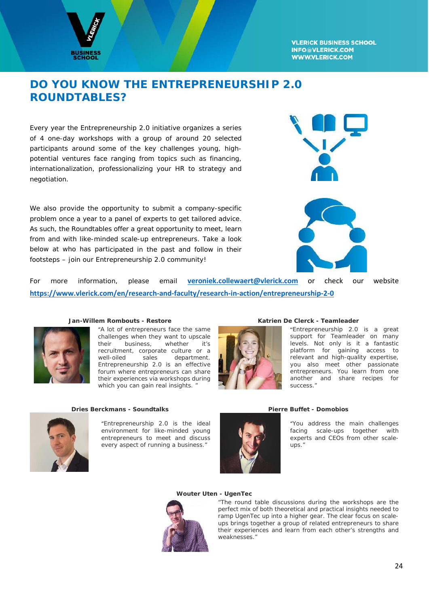![](_page_24_Picture_0.jpeg)

# **DO YOU KNOW THE ENTREPRENEURSHIP 2.0 ROUNDTABLES?**

Every year the Entrepreneurship 2.0 initiative organizes a series of 4 one-day workshops with a group of around 20 selected participants around some of the key challenges young, highpotential ventures face ranging from topics such as financing, internationalization, professionalizing your HR to strategy and negotiation.

We also provide the opportunity to submit a company-specific problem once a year to a panel of experts to get tailored advice. As such, the Roundtables offer a great opportunity to meet, learn from and with like-minded scale-up entrepreneurs. Take a look below at who has participated in the past and follow in their footsteps – join our Entrepreneurship 2.0 community!

![](_page_24_Picture_5.jpeg)

For more information, please email **[veroniek.collewaert@vlerick.com](mailto:veroniek.collewaert@vlerick.com)** or check our website **<https://www.vlerick.com/en/research-and-faculty/research-in-action/entrepreneurship-2-0>**

![](_page_24_Picture_7.jpeg)

"*A lot of entrepreneurs face the same challenges when they want to upscale their business, whether it's recruitment, corporate culture or a*   $de$ *atment. Entrepreneurship 2.0 is an effective forum where entrepreneurs can share their experiences via workshops during which you can gain real insights. "*

![](_page_24_Picture_10.jpeg)

#### **Jan-Willem Rombouts - Restore Katrien De Clerck - Teamleader**

"*Entrepreneurship 2.0 is a great support for Teamleader on many levels. Not only is it a fantastic platform for gaining access to relevant and high-quality expertise, you also meet other passionate entrepreneurs. You learn from one another and share recipes for success."*

![](_page_24_Picture_13.jpeg)

**Dries Berckmans - Soundtalks Pierre Buffet - Domobios**

"*Entrepreneurship 2.0 is the ideal environment for like-minded young entrepreneurs to meet and discuss every aspect of running a business."*

![](_page_24_Picture_16.jpeg)

"*You address the main challenges facing scale-ups together with experts and CEOs from other scaleups."*

#### **Wouter Uten - UgenTec**

![](_page_24_Picture_20.jpeg)

*"The round table discussions during the workshops are the perfect mix of both theoretical and practical insights needed to ramp UgenTec up into a higher gear. The clear focus on scaleups brings together a group of related entrepreneurs to share their experiences and learn from each other's strengths and weaknesses."*